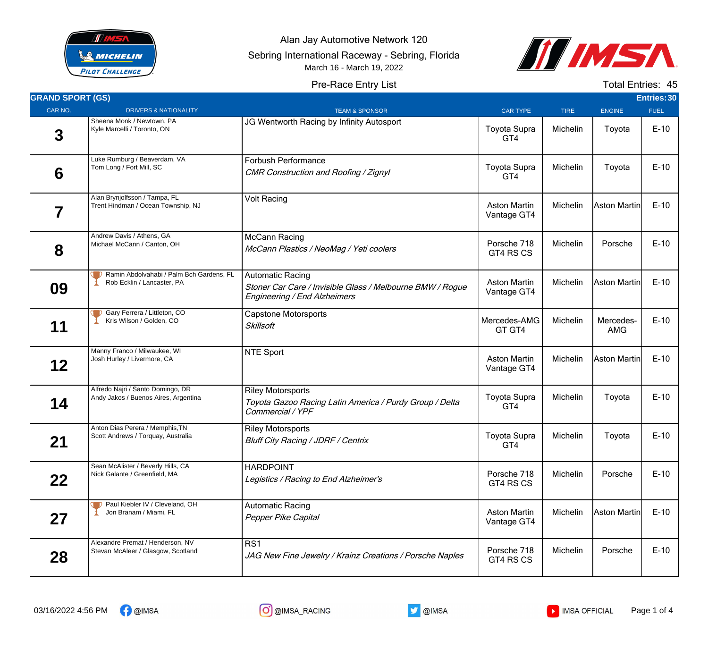

Alan Jay Automotive Network 120

Sebring International Raceway - Sebring, Florida

March 16 - March 19, 2022



## Pre-Race Entry List

Total Entries: 45

| <b>GRAND SPORT (GS)</b> |                                                                           |                                                                                                                      |                                    |             |                  | Entries: 30 |
|-------------------------|---------------------------------------------------------------------------|----------------------------------------------------------------------------------------------------------------------|------------------------------------|-------------|------------------|-------------|
| CAR NO.                 | <b>DRIVERS &amp; NATIONALITY</b>                                          | <b>TEAM &amp; SPONSOR</b>                                                                                            | <b>CAR TYPE</b>                    | <b>TIRE</b> | <b>ENGINE</b>    | <b>FUEL</b> |
| 3                       | Sheena Monk / Newtown, PA<br>Kyle Marcelli / Toronto, ON                  | JG Wentworth Racing by Infinity Autosport                                                                            | <b>Toyota Supra</b><br>GT4         | Michelin    | Toyota           | $E-10$      |
| 6                       | Luke Rumburg / Beaverdam, VA<br>Tom Long / Fort Mill, SC                  | Forbush Performance<br>CMR Construction and Roofing / Zignyl                                                         | <b>Toyota Supra</b><br>GT4         | Michelin    | Toyota           | $E-10$      |
| 7                       | Alan Brynjolfsson / Tampa, FL<br>Trent Hindman / Ocean Township, NJ       | <b>Volt Racing</b>                                                                                                   | <b>Aston Martin</b><br>Vantage GT4 | Michelin    | Aston Martin     | $E-10$      |
| 8                       | Andrew Davis / Athens, GA<br>Michael McCann / Canton, OH                  | <b>McCann Racing</b><br>McCann Plastics / NeoMag / Yeti coolers                                                      | Porsche 718<br>GT4 RS CS           | Michelin    | Porsche          | $E-10$      |
| 09                      | Ramin Abdolvahabi / Palm Bch Gardens, FL<br>Rob Ecklin / Lancaster, PA    | <b>Automatic Racing</b><br>Stoner Car Care / Invisible Glass / Melbourne BMW / Rogue<br>Engineering / End Alzheimers | <b>Aston Martin</b><br>Vantage GT4 | Michelin    | Aston Martin     | $E-10$      |
| 11                      | Gary Ferrera / Littleton, CO<br>Kris Wilson / Golden, CO                  | <b>Capstone Motorsports</b><br><b>Skillsoft</b>                                                                      | Mercedes-AMG<br>GT GT4             | Michelin    | Mercedes-<br>AMG | $E-10$      |
| 12                      | Manny Franco / Milwaukee, WI<br>Josh Hurley / Livermore, CA               | <b>NTE Sport</b>                                                                                                     | <b>Aston Martin</b><br>Vantage GT4 | Michelin    | Aston Martin     | $E-10$      |
| 14                      | Alfredo Najri / Santo Domingo, DR<br>Andy Jakos / Buenos Aires, Argentina | <b>Riley Motorsports</b><br>Toyota Gazoo Racing Latin America / Purdy Group / Delta<br>Commercial / YPF              | <b>Toyota Supra</b><br>GT4         | Michelin    | Toyota           | $E-10$      |
| 21                      | Anton Dias Perera / Memphis, TN<br>Scott Andrews / Torquay, Australia     | <b>Riley Motorsports</b><br><b>Bluff City Racing / JDRF / Centrix</b>                                                | Toyota Supra<br>GT4                | Michelin    | Toyota           | $E-10$      |
| 22                      | Sean McAlister / Beverly Hills, CA<br>Nick Galante / Greenfield, MA       | <b>HARDPOINT</b><br>Legistics / Racing to End Alzheimer's                                                            | Porsche 718<br>GT4 RS CS           | Michelin    | Porsche          | $E-10$      |
| 27                      | P Paul Kiebler IV / Cleveland, OH<br>Jon Branam / Miami, FL               | <b>Automatic Racing</b><br>Pepper Pike Capital                                                                       | <b>Aston Martin</b><br>Vantage GT4 | Michelin    | Aston Martin     | $E-10$      |
| 28                      | Alexandre Premat / Henderson, NV<br>Stevan McAleer / Glasgow, Scotland    | RS1<br>JAG New Fine Jewelry / Krainz Creations / Porsche Naples                                                      | Porsche 718<br>GT4 RS CS           | Michelin    | Porsche          | $E-10$      |





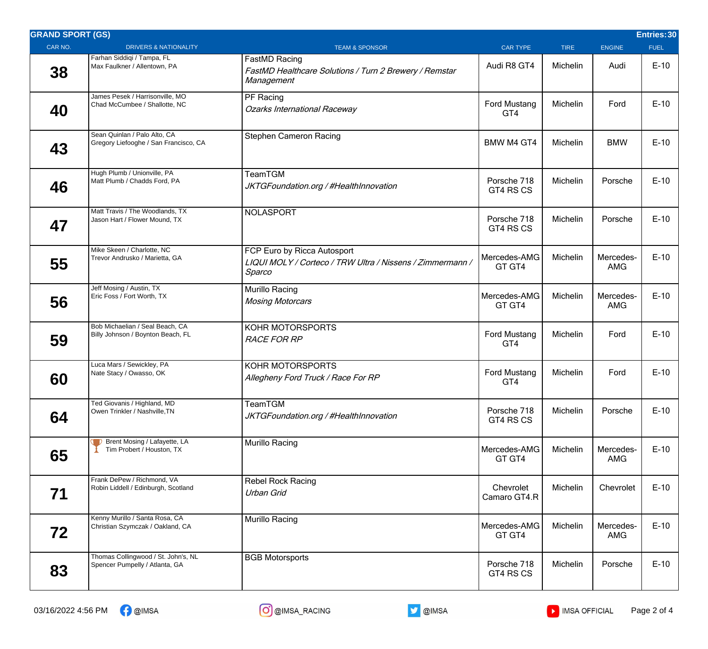| <b>GRAND SPORT (GS)</b> |                                                                       |                                                                                                    |                            |             |                         | Entries: 30 |
|-------------------------|-----------------------------------------------------------------------|----------------------------------------------------------------------------------------------------|----------------------------|-------------|-------------------------|-------------|
| CAR NO.                 | <b>DRIVERS &amp; NATIONALITY</b>                                      | <b>TEAM &amp; SPONSOR</b>                                                                          | <b>CAR TYPE</b>            | <b>TIRE</b> | <b>ENGINE</b>           | <b>FUEL</b> |
| 38                      | Farhan Siddiqi / Tampa, FL<br>Max Faulkner / Allentown, PA            | <b>FastMD Racing</b><br>FastMD Healthcare Solutions / Turn 2 Brewery / Remstar<br>Management       | Audi R8 GT4                | Michelin    | Audi                    | $E-10$      |
| 40                      | James Pesek / Harrisonville, MO<br>Chad McCumbee / Shallotte, NC      | PF Racing<br><b>Ozarks International Raceway</b>                                                   | <b>Ford Mustang</b><br>GT4 | Michelin    | Ford                    | $E-10$      |
| 43                      | Sean Quinlan / Palo Alto, CA<br>Gregory Liefooghe / San Francisco, CA | <b>Stephen Cameron Racing</b>                                                                      | <b>BMW M4 GT4</b>          | Michelin    | <b>BMW</b>              | $E-10$      |
| 46                      | Hugh Plumb / Unionville, PA<br>Matt Plumb / Chadds Ford, PA           | TeamTGM<br>JKTGFoundation.org / #HealthInnovation                                                  | Porsche 718<br>GT4 RS CS   | Michelin    | Porsche                 | $E-10$      |
| 47                      | Matt Travis / The Woodlands, TX<br>Jason Hart / Flower Mound, TX      | <b>NOLASPORT</b>                                                                                   | Porsche 718<br>GT4 RS CS   | Michelin    | Porsche                 | $E-10$      |
| 55                      | Mike Skeen / Charlotte, NC<br>Trevor Andrusko / Marietta, GA          | FCP Euro by Ricca Autosport<br>LIQUI MOLY / Corteco / TRW Ultra / Nissens / Zimmermann /<br>Sparco | Mercedes-AMG<br>GT GT4     | Michelin    | Mercedes-<br><b>AMG</b> | $E-10$      |
| 56                      | Jeff Mosing / Austin, TX<br>Eric Foss / Fort Worth, TX                | Murillo Racing<br><b>Mosing Motorcars</b>                                                          | Mercedes-AMG<br>GT GT4     | Michelin    | Mercedes-<br><b>AMG</b> | $E-10$      |
| 59                      | Bob Michaelian / Seal Beach, CA<br>Billy Johnson / Boynton Beach, FL  | KOHR MOTORSPORTS<br><b>RACE FOR RP</b>                                                             | <b>Ford Mustang</b><br>GT4 | Michelin    | Ford                    | $E-10$      |
| 60                      | Luca Mars / Sewickley, PA<br>Nate Stacy / Owasso, OK                  | <b>KOHR MOTORSPORTS</b><br>Allegheny Ford Truck / Race For RP                                      | <b>Ford Mustang</b><br>GT4 | Michelin    | Ford                    | $E-10$      |
| 64                      | Ted Giovanis / Highland, MD<br>Owen Trinkler / Nashville, TN          | TeamTGM<br>JKTGFoundation.org / #HealthInnovation                                                  | Porsche 718<br>GT4 RS CS   | Michelin    | Porsche                 | $E-10$      |
| 65                      | Brent Mosing / Lafayette, LA<br>Tim Probert / Houston, TX             | Murillo Racing                                                                                     | Mercedes-AMG<br>GT GT4     | Michelin    | Mercedes-<br><b>AMG</b> | $E-10$      |
| 71                      | Frank DePew / Richmond, VA<br>Robin Liddell / Edinburgh, Scotland     | <b>Rebel Rock Racing</b><br>Urban Grid                                                             | Chevrolet<br>Camaro GT4.R  | Michelin    | Chevrolet               | $E-10$      |
| 72                      | Kenny Murillo / Santa Rosa, CA<br>Christian Szymczak / Oakland, CA    | Murillo Racing                                                                                     | Mercedes-AMG<br>GT GT4     | Michelin    | Mercedes-<br>AMG        | $E-10$      |
| 83                      | Thomas Collingwood / St. John's, NL<br>Spencer Pumpelly / Atlanta, GA | <b>BGB Motorsports</b>                                                                             | Porsche 718<br>GT4 RS CS   | Michelin    | Porsche                 | $E-10$      |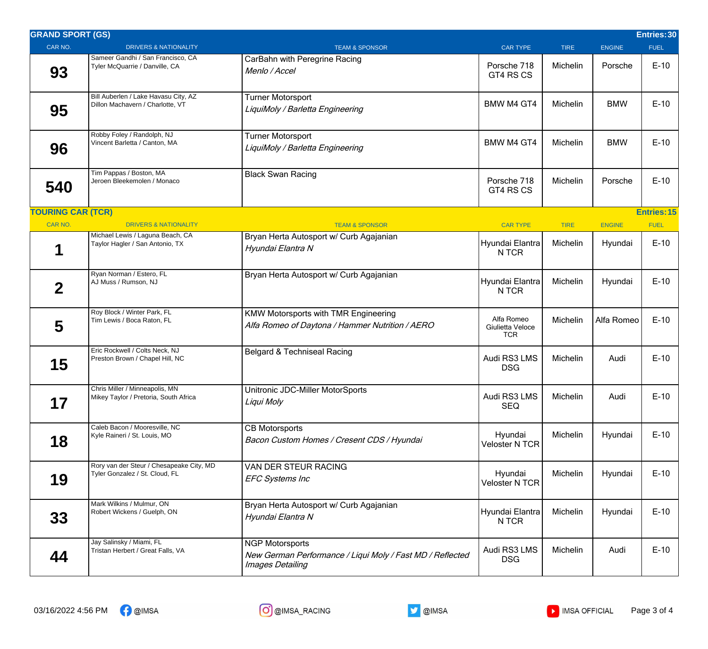| <b>GRAND SPORT (GS)</b>  |                                                                            |                                                                                                         |                                              |             |               | Entries: 30        |
|--------------------------|----------------------------------------------------------------------------|---------------------------------------------------------------------------------------------------------|----------------------------------------------|-------------|---------------|--------------------|
| CAR NO.                  | <b>DRIVERS &amp; NATIONALITY</b>                                           | <b>TEAM &amp; SPONSOR</b>                                                                               | <b>CAR TYPE</b>                              | <b>TIRE</b> | <b>ENGINE</b> | <b>FUEL</b>        |
| 93                       | Sameer Gandhi / San Francisco, CA<br>Tyler McQuarrie / Danville, CA        | CarBahn with Peregrine Racing<br>Menlo / Accel                                                          | Porsche 718<br>GT4 RS CS                     | Michelin    | Porsche       | $E-10$             |
| 95                       | Bill Auberlen / Lake Havasu City, AZ<br>Dillon Machavern / Charlotte, VT   | Turner Motorsport<br>LiquiMoly / Barletta Engineering                                                   | <b>BMW M4 GT4</b>                            | Michelin    | <b>BMW</b>    | $E-10$             |
| 96                       | Robby Foley / Randolph, NJ<br>Vincent Barletta / Canton, MA                | <b>Turner Motorsport</b><br>LiquiMoly / Barletta Engineering                                            | <b>BMW M4 GT4</b>                            | Michelin    | <b>BMW</b>    | $E-10$             |
| 540                      | Tim Pappas / Boston, MA<br>Jeroen Bleekemolen / Monaco                     | <b>Black Swan Racing</b>                                                                                | Porsche 718<br>GT4 RS CS                     | Michelin    | Porsche       | $E-10$             |
| <b>TOURING CAR (TCR)</b> |                                                                            |                                                                                                         |                                              |             |               | <b>Entries: 15</b> |
| CAR NO.                  | <b>DRIVERS &amp; NATIONALITY</b>                                           | <b>TEAM &amp; SPONSOR</b>                                                                               | <b>CAR TYPE</b>                              | <b>TIRE</b> | <b>ENGINE</b> | <b>FUEL</b>        |
|                          | Michael Lewis / Laguna Beach, CA<br>Taylor Hagler / San Antonio, TX        | Bryan Herta Autosport w/ Curb Agajanian<br>Hyundai Elantra N                                            | Hyundai Elantra<br>N TCR                     | Michelin    | Hyundai       | $E-10$             |
| $\overline{2}$           | Ryan Norman / Estero, FL<br>AJ Muss / Rumson, NJ                           | Bryan Herta Autosport w/ Curb Agajanian                                                                 | Hyundai Elantra<br>N TCR                     | Michelin    | Hyundai       | $E-10$             |
| 5                        | Roy Block / Winter Park, FL<br>Tim Lewis / Boca Raton, FL                  | <b>KMW Motorsports with TMR Engineering</b><br>Alfa Romeo of Daytona / Hammer Nutrition / AERO          | Alfa Romeo<br>Giulietta Veloce<br><b>TCR</b> | Michelin    | Alfa Romeo    | $E-10$             |
| 15                       | Eric Rockwell / Colts Neck, NJ<br>Preston Brown / Chapel Hill, NC          | Belgard & Techniseal Racing                                                                             | Audi RS3 LMS<br><b>DSG</b>                   | Michelin    | Audi          | $E-10$             |
| 17                       | Chris Miller / Minneapolis, MN<br>Mikey Taylor / Pretoria, South Africa    | Unitronic JDC-Miller MotorSports<br>Liqui Moly                                                          | Audi RS3 LMS<br><b>SEQ</b>                   | Michelin    | Audi          | $E-10$             |
| 18                       | Caleb Bacon / Mooresville, NC<br>Kyle Raineri / St. Louis, MO              | <b>CB Motorsports</b><br>Bacon Custom Homes / Cresent CDS / Hyundai                                     | Hyundai<br><b>Veloster N TCR</b>             | Michelin    | Hyundai       | $E-10$             |
| 19                       | Rory van der Steur / Chesapeake City, MD<br>Tyler Gonzalez / St. Cloud, FL | VAN DER STEUR RACING<br><b>EFC Systems Inc</b>                                                          | Hyundai<br><b>Veloster N TCR</b>             | Michelin    | Hyundai       | $E-10$             |
| 33                       | Mark Wilkins / Mulmur, ON<br>Robert Wickens / Guelph, ON                   | Bryan Herta Autosport w/ Curb Agajanian<br>Hyundai Elantra N                                            | Hyundai Elantra<br>N TCR                     | Michelin    | Hyundai       | $E-10$             |
| 44                       | Jay Salinsky / Miami, FL<br>Tristan Herbert / Great Falls, VA              | <b>NGP Motorsports</b><br>New German Performance / Liqui Moly / Fast MD / Reflected<br>Images Detailing | Audi RS3 LMS<br><b>DSG</b>                   | Michelin    | Audi          | $E-10$             |
|                          |                                                                            |                                                                                                         |                                              |             |               |                    |